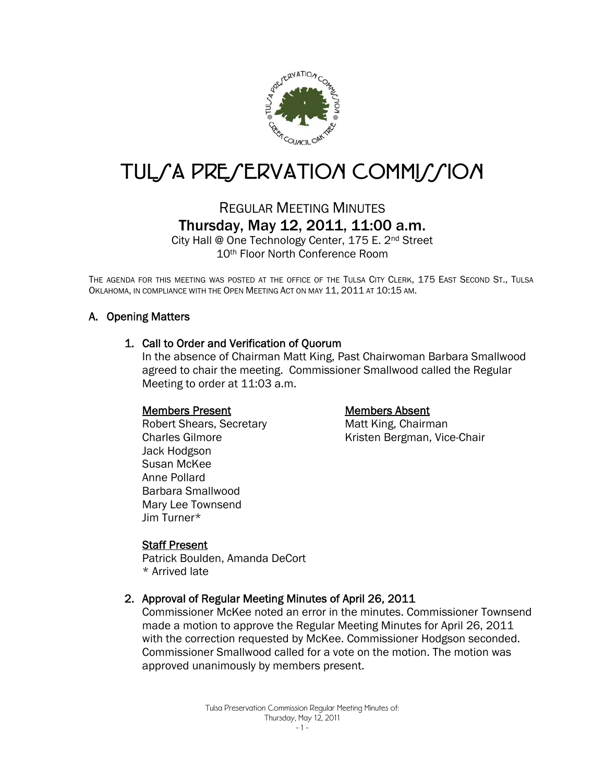

# TUL/A PRE/ERVATION COMMI//ION

## REGULAR MEETING MINUTES Thursday, May 12, 2011, 11:00 a.m.

City Hall @ One Technology Center, 175 E. 2nd Street 10th Floor North Conference Room

THE AGENDA FOR THIS MEETING WAS POSTED AT THE OFFICE OF THE TULSA CITY CLERK, 175 EAST SECOND ST., TULSA OKLAHOMA, IN COMPLIANCE WITH THE OPEN MEETING ACT ON MAY 11, 2011 AT 10:15 AM.

### A. Opening Matters

#### 1. Call to Order and Verification of Quorum

In the absence of Chairman Matt King, Past Chairwoman Barbara Smallwood agreed to chair the meeting. Commissioner Smallwood called the Regular Meeting to order at 11:03 a.m.

#### Members Present

 Robert Shears, Secretary Charles Gilmore Jack Hodgson Susan McKee Anne Pollard Barbara Smallwood Mary Lee Townsend Jim Turner\*

#### Members Absent

Matt King, Chairman Kristen Bergman, Vice-Chair

#### Staff Present

Patrick Boulden, Amanda DeCort \* Arrived late

#### 2. Approval of Regular Meeting Minutes of April 26, 2011

Commissioner McKee noted an error in the minutes. Commissioner Townsend made a motion to approve the Regular Meeting Minutes for April 26, 2011 with the correction requested by McKee. Commissioner Hodgson seconded. Commissioner Smallwood called for a vote on the motion. The motion was approved unanimously by members present.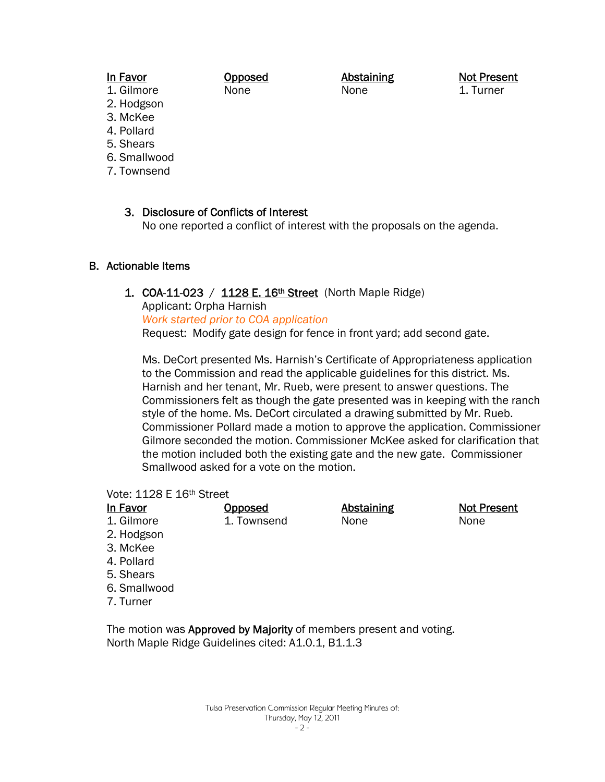#### In Favor

#### Opposed None

Abstaining None

Not Present 1. Turner

- 1. Gilmore 2. Hodgson
- 3. McKee
- 4. Pollard
- 5. Shears
- 6. Smallwood
- 7. Townsend

3. Disclosure of Conflicts of Interest No one reported a conflict of interest with the proposals on the agenda.

### B. Actionable Items

#### 1. COA-11-023 /  $1128 E. 16<sup>th</sup> Street$  (North Maple Ridge)

Applicant: Orpha Harnish *Work started prior to COA application* Request: Modify gate design for fence in front yard; add second gate.

Ms. DeCort presented Ms. Harnish's Certificate of Appropriateness application to the Commission and read the applicable guidelines for this district. Ms. Harnish and her tenant, Mr. Rueb, were present to answer questions. The Commissioners felt as though the gate presented was in keeping with the ranch style of the home. Ms. DeCort circulated a drawing submitted by Mr. Rueb. Commissioner Pollard made a motion to approve the application. Commissioner Gilmore seconded the motion. Commissioner McKee asked for clarification that the motion included both the existing gate and the new gate. Commissioner Smallwood asked for a vote on the motion.

#### Vote: 1128 E 16th Street

| In Favor     | Opposed     | <b>Abstaining</b> | <b>Not Present</b> |
|--------------|-------------|-------------------|--------------------|
| 1. Gilmore   | 1. Townsend | None              | None               |
| 2. Hodgson   |             |                   |                    |
| 3. McKee     |             |                   |                    |
| 4. Pollard   |             |                   |                    |
| 5. Shears    |             |                   |                    |
| 6. Smallwood |             |                   |                    |
| 7. Turner    |             |                   |                    |
|              |             |                   |                    |
| ÷.           |             |                   |                    |

The motion was Approved by Majority of members present and voting. North Maple Ridge Guidelines cited: A1.0.1, B1.1.3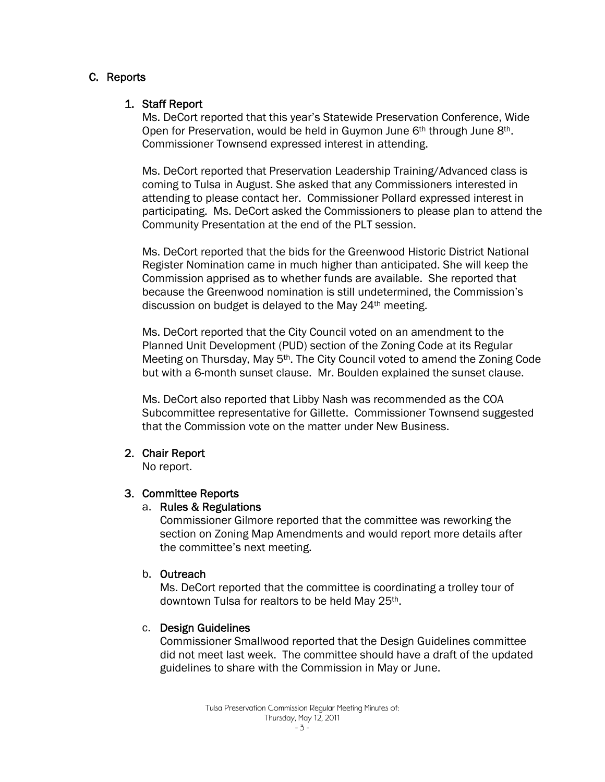#### C. Reports

#### 1. Staff Report

Ms. DeCort reported that this year's Statewide Preservation Conference, Wide Open for Preservation, would be held in Guymon June 6<sup>th</sup> through June 8<sup>th</sup>. Commissioner Townsend expressed interest in attending.

Ms. DeCort reported that Preservation Leadership Training/Advanced class is coming to Tulsa in August. She asked that any Commissioners interested in attending to please contact her. Commissioner Pollard expressed interest in participating. Ms. DeCort asked the Commissioners to please plan to attend the Community Presentation at the end of the PLT session.

Ms. DeCort reported that the bids for the Greenwood Historic District National Register Nomination came in much higher than anticipated. She will keep the Commission apprised as to whether funds are available. She reported that because the Greenwood nomination is still undetermined, the Commission's discussion on budget is delayed to the May 24th meeting.

Ms. DeCort reported that the City Council voted on an amendment to the Planned Unit Development (PUD) section of the Zoning Code at its Regular Meeting on Thursday, May 5<sup>th</sup>. The City Council voted to amend the Zoning Code but with a 6-month sunset clause. Mr. Boulden explained the sunset clause.

Ms. DeCort also reported that Libby Nash was recommended as the COA Subcommittee representative for Gillette. Commissioner Townsend suggested that the Commission vote on the matter under New Business.

#### 2. Chair Report

No report.

#### 3. Committee Reports

#### a. Rules & Regulations

Commissioner Gilmore reported that the committee was reworking the section on Zoning Map Amendments and would report more details after the committee's next meeting.

#### b. Outreach

Ms. DeCort reported that the committee is coordinating a trolley tour of downtown Tulsa for realtors to be held May 25th.

#### c. Design Guidelines

Commissioner Smallwood reported that the Design Guidelines committee did not meet last week. The committee should have a draft of the updated guidelines to share with the Commission in May or June.